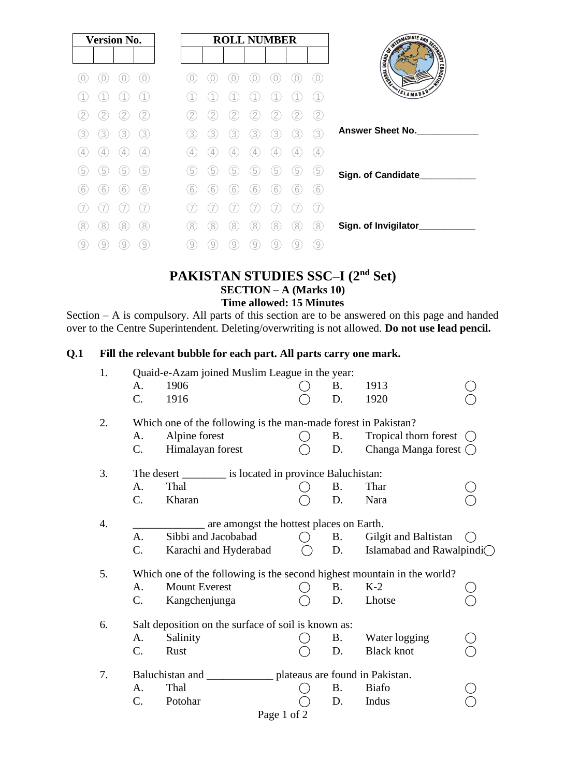| <b>Version No.</b> |   |   |               |   |   |   |   | <b>ROLL NUMBER</b> |    |                   |                                    |
|--------------------|---|---|---------------|---|---|---|---|--------------------|----|-------------------|------------------------------------|
|                    |   |   |               |   |   |   |   |                    |    |                   | THE REAL PROPERTY AND SCRIPTION OF |
|                    |   |   |               |   |   |   |   |                    |    | $\bigcirc$        |                                    |
|                    |   |   |               |   |   |   |   |                    |    |                   | SLAMABAD <sup>®</sup>              |
|                    |   |   | 2             |   |   |   |   |                    |    | 2                 |                                    |
| 3                  | 3 | 3 | 3             | 3 | 3 | 3 | 3 | 3                  | 3  | 3                 | <b>Answer Sheet No.</b>            |
|                    |   |   | $\frac{1}{2}$ |   |   | 4 | 4 |                    |    | $\left( 4\right)$ |                                    |
| b                  | 5 | 5 | 5             | 5 | 5 | 5 | 5 | 5                  | .5 | (5                | Sign. of Candidate_                |
| 6                  | 6 | 6 | 6             | 6 | 6 | 6 | 6 | 6                  | b  | 6                 |                                    |
|                    |   |   |               |   |   |   |   |                    |    |                   |                                    |
| 8                  | 8 | 8 | 8)            | 8 | 8 | 8 | 8 | 8                  | 8  | 8                 | Sign. of Invigilator_              |
| 9                  | 9 | 9 | 9             | 9 | 9 | 9 | 9 | 9                  | 9  | $\overline{9}$    |                                    |

## **PAKISTAN STUDIES SSC–I (2nd Set) SECTION – A (Marks 10) Time allowed: 15 Minutes**

Section – A is compulsory. All parts of this section are to be answered on this page and handed over to the Centre Superintendent. Deleting/overwriting is not allowed. **Do not use lead pencil.**

### **Q.1 Fill the relevant bubble for each part. All parts carry one mark.**

| 1.               | Quaid-e-Azam joined Muslim League in the year:                 |                                                                         |  |           |                               |  |  |  |
|------------------|----------------------------------------------------------------|-------------------------------------------------------------------------|--|-----------|-------------------------------|--|--|--|
|                  | A.                                                             | 1906                                                                    |  | Β.        | 1913                          |  |  |  |
|                  | $\mathcal{C}$ .                                                | 1916                                                                    |  | D.        | 1920                          |  |  |  |
| 2.               | Which one of the following is the man-made forest in Pakistan? |                                                                         |  |           |                               |  |  |  |
|                  | A.                                                             | Alpine forest                                                           |  | B.        | Tropical thorn forest         |  |  |  |
|                  | C.                                                             | Himalayan forest                                                        |  | D.        | Changa Manga forest $\bigcap$ |  |  |  |
| 3.               |                                                                | The desert ___________ is located in province Baluchistan:              |  |           |                               |  |  |  |
|                  | A.                                                             | Thal                                                                    |  | <b>B.</b> | Thar                          |  |  |  |
|                  | C.                                                             | Kharan                                                                  |  | D.        | Nara                          |  |  |  |
| $\overline{4}$ . |                                                                | are amongst the hottest places on Earth.                                |  |           |                               |  |  |  |
|                  | $\mathbf{A}$ .                                                 | Sibbi and Jacobabad                                                     |  | <b>B.</b> | Gilgit and Baltistan          |  |  |  |
|                  | C.                                                             | Karachi and Hyderabad                                                   |  | D.        | Islamabad and Rawalpindi◯     |  |  |  |
| 5.               |                                                                | Which one of the following is the second highest mountain in the world? |  |           |                               |  |  |  |
|                  | А.                                                             | <b>Mount Everest</b>                                                    |  | <b>B.</b> | $K-2$                         |  |  |  |
|                  | C.                                                             | Kangchenjunga                                                           |  | D.        | Lhotse                        |  |  |  |
| 6.               |                                                                | Salt deposition on the surface of soil is known as:                     |  |           |                               |  |  |  |
|                  | A.                                                             | Salinity                                                                |  | <b>B.</b> | Water logging                 |  |  |  |
|                  | C.                                                             | Rust                                                                    |  | D.        | <b>Black knot</b>             |  |  |  |
| 7.               | Baluchistan and<br>__ plateaus are found in Pakistan.          |                                                                         |  |           |                               |  |  |  |
|                  | A.                                                             | Thal                                                                    |  | <b>B.</b> | <b>Biafo</b>                  |  |  |  |
|                  | C.                                                             | Potohar                                                                 |  | D.        | Indus                         |  |  |  |
|                  | Page 1 of 2                                                    |                                                                         |  |           |                               |  |  |  |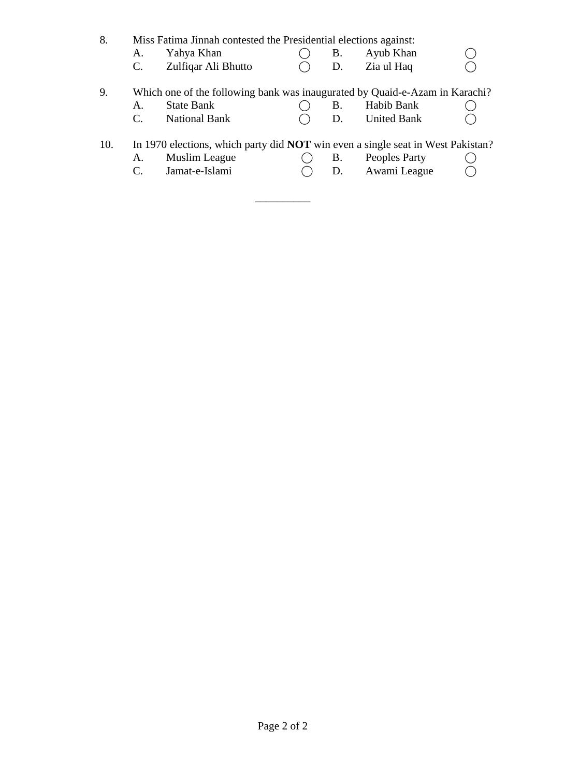| 8.  | А.<br>C. | Miss Fatima Jinnah contested the Presidential elections against:<br>Yahya Khan<br>Zulfiqar Ali Bhutto                     | В.<br>D. | Ayub Khan<br>Zia ul Haq          |  |
|-----|----------|---------------------------------------------------------------------------------------------------------------------------|----------|----------------------------------|--|
| 9.  | A.<br>C. | Which one of the following bank was inaugurated by Quaid-e-Azam in Karachi?<br><b>State Bank</b><br><b>National Bank</b>  | В.<br>D. | Habib Bank<br><b>United Bank</b> |  |
| 10. | А.       | In 1970 elections, which party did <b>NOT</b> win even a single seat in West Pakistan?<br>Muslim League<br>Jamat-e-Islami | B.<br>D. | Peoples Party<br>Awami League    |  |

\_\_\_\_\_\_\_\_\_\_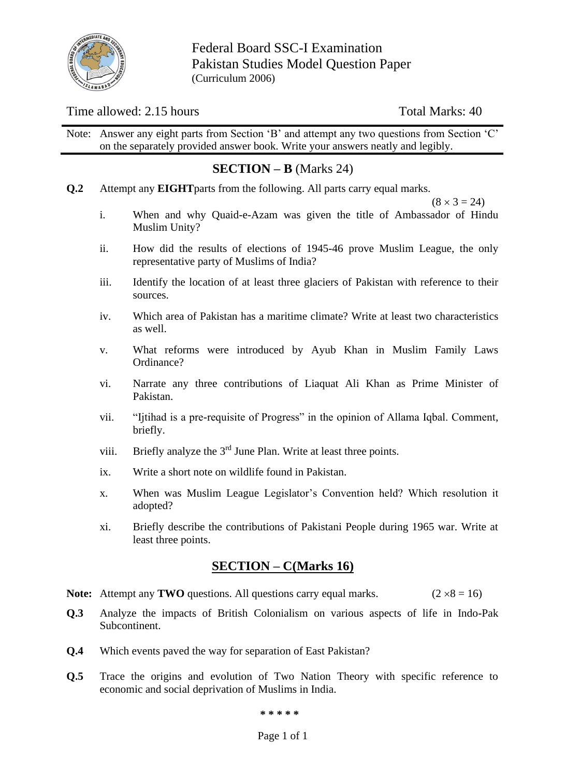

Federal Board SSC-I Examination Pakistan Studies Model Question Paper (Curriculum 2006)

### Time allowed: 2.15 hours Total Marks: 40

Note: Answer any eight parts from Section 'B' and attempt any two questions from Section 'C' on the separately provided answer book. Write your answers neatly and legibly.

## **SECTION – B** (Marks 24)

**Q.2** Attempt any **EIGHT**parts from the following. All parts carry equal marks.

 $(8 \times 3 = 24)$ 

- i. When and why Quaid-e-Azam was given the title of Ambassador of Hindu Muslim Unity?
- ii. How did the results of elections of 1945-46 prove Muslim League, the only representative party of Muslims of India?
- iii. Identify the location of at least three glaciers of Pakistan with reference to their sources.
- iv. Which area of Pakistan has a maritime climate? Write at least two characteristics as well.
- v. What reforms were introduced by Ayub Khan in Muslim Family Laws Ordinance?
- vi. Narrate any three contributions of Liaquat Ali Khan as Prime Minister of Pakistan.
- vii. "Ijtihad is a pre-requisite of Progress" in the opinion of Allama Iqbal. Comment, briefly.
- viii. Briefly analyze the  $3<sup>rd</sup>$  June Plan. Write at least three points.
- ix. Write a short note on wildlife found in Pakistan.
- x. When was Muslim League Legislator's Convention held? Which resolution it adopted?
- xi. Briefly describe the contributions of Pakistani People during 1965 war. Write at least three points.

### **SECTION – C(Marks 16)**

- **Note:** Attempt any **TWO** questions. All questions carry equal marks. ( $2 \times 8 = 16$ )
- **Q.3** Analyze the impacts of British Colonialism on various aspects of life in Indo-Pak Subcontinent.
- **Q.4** Which events paved the way for separation of East Pakistan?
- **Q.5** Trace the origins and evolution of Two Nation Theory with specific reference to economic and social deprivation of Muslims in India.

**\* \* \* \* \***

#### Page 1 of 1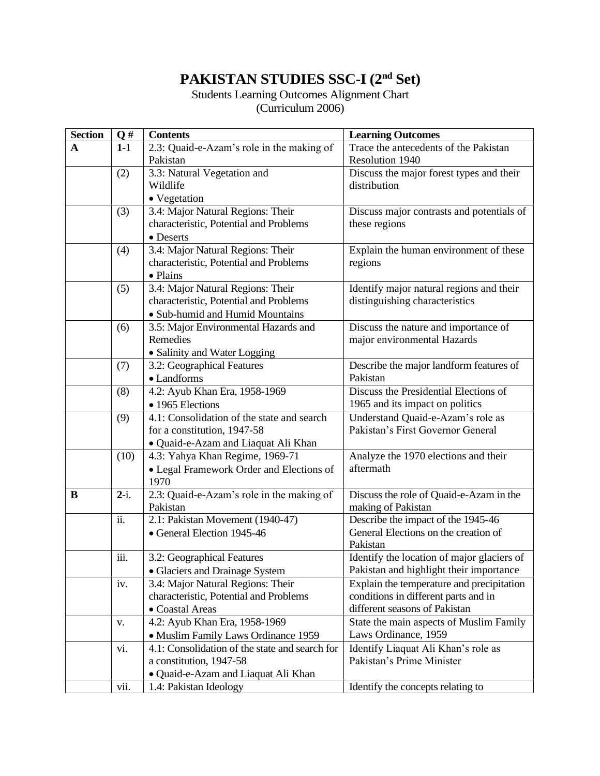# **PAKISTAN STUDIES SSC-I (2nd Set)**

Students Learning Outcomes Alignment Chart (Curriculum 2006)

| <b>Section</b> | Q#     | <b>Contents</b>                                       | <b>Learning Outcomes</b>                                      |  |  |
|----------------|--------|-------------------------------------------------------|---------------------------------------------------------------|--|--|
| A              | $1-1$  | 2.3: Quaid-e-Azam's role in the making of             | Trace the antecedents of the Pakistan                         |  |  |
|                |        | Pakistan                                              | Resolution 1940                                               |  |  |
|                | (2)    | 3.3: Natural Vegetation and                           | Discuss the major forest types and their                      |  |  |
|                |        | Wildlife                                              | distribution                                                  |  |  |
|                |        | • Vegetation                                          |                                                               |  |  |
|                | (3)    | 3.4: Major Natural Regions: Their                     | Discuss major contrasts and potentials of                     |  |  |
|                |        | characteristic, Potential and Problems                | these regions                                                 |  |  |
|                |        | • Deserts                                             |                                                               |  |  |
|                | (4)    | 3.4: Major Natural Regions: Their                     | Explain the human environment of these                        |  |  |
|                |        | characteristic, Potential and Problems                | regions                                                       |  |  |
|                |        | • Plains                                              |                                                               |  |  |
|                | (5)    | 3.4: Major Natural Regions: Their                     | Identify major natural regions and their                      |  |  |
|                |        | characteristic, Potential and Problems                | distinguishing characteristics                                |  |  |
|                |        | • Sub-humid and Humid Mountains                       |                                                               |  |  |
|                | (6)    | 3.5: Major Environmental Hazards and                  | Discuss the nature and importance of                          |  |  |
|                |        | Remedies                                              | major environmental Hazards                                   |  |  |
|                |        | · Salinity and Water Logging                          |                                                               |  |  |
|                | (7)    | 3.2: Geographical Features                            | Describe the major landform features of                       |  |  |
|                |        | • Landforms                                           | Pakistan                                                      |  |  |
|                | (8)    | 4.2: Ayub Khan Era, 1958-1969                         | Discuss the Presidential Elections of                         |  |  |
|                |        | • 1965 Elections                                      | 1965 and its impact on politics                               |  |  |
|                | (9)    | 4.1: Consolidation of the state and search            | Understand Quaid-e-Azam's role as                             |  |  |
|                |        | for a constitution, 1947-58                           | Pakistan's First Governor General                             |  |  |
|                |        | · Quaid-e-Azam and Liaquat Ali Khan                   |                                                               |  |  |
|                | (10)   | 4.3: Yahya Khan Regime, 1969-71                       | Analyze the 1970 elections and their                          |  |  |
|                |        | • Legal Framework Order and Elections of              | aftermath                                                     |  |  |
| B              | $2-i.$ | 1970                                                  |                                                               |  |  |
|                |        | 2.3: Quaid-e-Azam's role in the making of<br>Pakistan | Discuss the role of Quaid-e-Azam in the<br>making of Pakistan |  |  |
|                | ii.    | 2.1: Pakistan Movement (1940-47)                      | Describe the impact of the 1945-46                            |  |  |
|                |        | • General Election 1945-46                            | General Elections on the creation of                          |  |  |
|                |        |                                                       | Pakistan                                                      |  |  |
|                | iii.   | 3.2: Geographical Features                            | Identify the location of major glaciers of                    |  |  |
|                |        | • Glaciers and Drainage System                        | Pakistan and highlight their importance                       |  |  |
|                | iv.    | 3.4: Major Natural Regions: Their                     | Explain the temperature and precipitation                     |  |  |
|                |        | characteristic, Potential and Problems                | conditions in different parts and in                          |  |  |
|                |        | • Coastal Areas                                       | different seasons of Pakistan                                 |  |  |
|                | V.     | 4.2: Ayub Khan Era, 1958-1969                         | State the main aspects of Muslim Family                       |  |  |
|                |        | • Muslim Family Laws Ordinance 1959                   | Laws Ordinance, 1959                                          |  |  |
|                | vi.    | 4.1: Consolidation of the state and search for        | Identify Liaquat Ali Khan's role as                           |  |  |
|                |        | a constitution, 1947-58                               | Pakistan's Prime Minister                                     |  |  |
|                |        | · Quaid-e-Azam and Liaquat Ali Khan                   |                                                               |  |  |
|                | vii.   | 1.4: Pakistan Ideology                                | Identify the concepts relating to                             |  |  |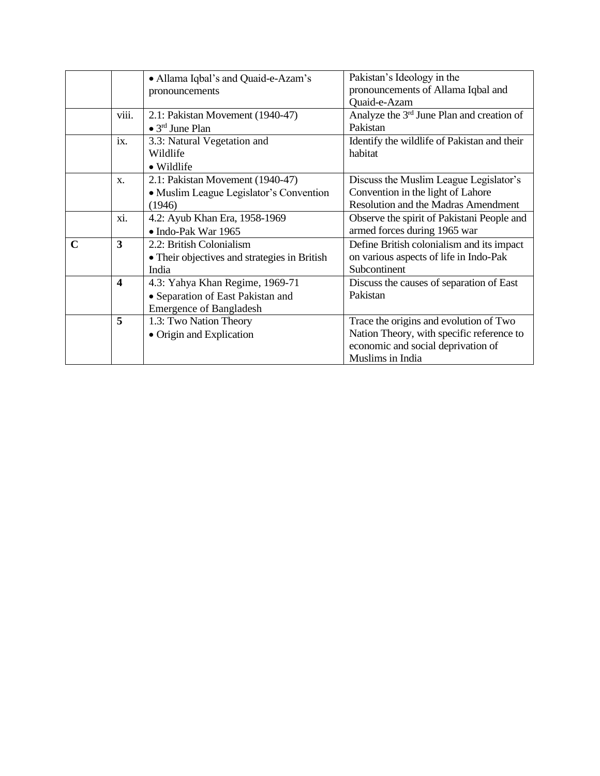|             |                         | • Allama Iqbal's and Quaid-e-Azam's          | Pakistan's Ideology in the                  |
|-------------|-------------------------|----------------------------------------------|---------------------------------------------|
|             |                         | pronouncements                               | pronouncements of Allama Iqbal and          |
|             |                         |                                              | <b>Ouaid-e-Azam</b>                         |
|             | viii.                   | 2.1: Pakistan Movement (1940-47)             | Analyze the 3rd June Plan and creation of   |
|             |                         | $\bullet$ 3 <sup>rd</sup> June Plan          | Pakistan                                    |
|             | ix.                     | 3.3: Natural Vegetation and                  | Identify the wildlife of Pakistan and their |
|             |                         | Wildlife                                     | habitat                                     |
|             |                         | • Wildlife                                   |                                             |
|             | $\mathbf{X}$ .          | 2.1: Pakistan Movement (1940-47)             | Discuss the Muslim League Legislator's      |
|             |                         | • Muslim League Legislator's Convention      | Convention in the light of Lahore           |
|             |                         | (1946)                                       | <b>Resolution and the Madras Amendment</b>  |
|             | xi.                     | 4.2: Ayub Khan Era, 1958-1969                | Observe the spirit of Pakistani People and  |
|             |                         | • Indo-Pak War 1965                          | armed forces during 1965 war                |
| $\mathbf C$ | $\overline{\mathbf{3}}$ | 2.2: British Colonialism                     | Define British colonialism and its impact   |
|             |                         | • Their objectives and strategies in British | on various aspects of life in Indo-Pak      |
|             |                         | India                                        | Subcontinent                                |
|             | $\overline{\mathbf{4}}$ | 4.3: Yahya Khan Regime, 1969-71              | Discuss the causes of separation of East    |
|             |                         | • Separation of East Pakistan and            | Pakistan                                    |
|             |                         | <b>Emergence of Bangladesh</b>               |                                             |
|             | 5                       | 1.3: Two Nation Theory                       | Trace the origins and evolution of Two      |
|             |                         | • Origin and Explication                     | Nation Theory, with specific reference to   |
|             |                         |                                              | economic and social deprivation of          |
|             |                         |                                              | Muslims in India                            |